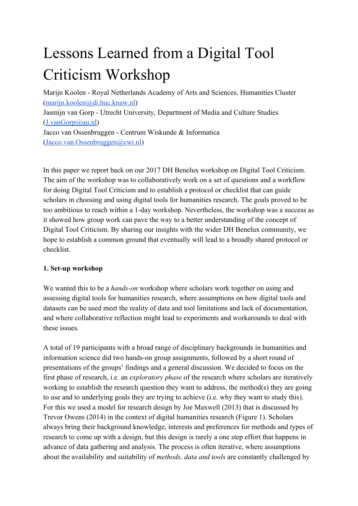# Lessons Learned from a Digital Tool Criticism Workshop

Marijn Koolen - Royal Netherlands Academy of Arts and Sciences, Humanities Cluster [\(marijn.koolen@di.huc.knaw.nl](mailto:marijn.koolen@di.huc.knaw.nl)) Jasmijn van Gorp - Utrecht University, Department of Media and Culture Studies [\(J.vanGorp@uu.nl](mailto:J.vanGorp@uu.nl)) Jacco van Ossenbruggen - Centrum Wiskunde & Informatica [\(Jacco.van.Ossenbruggen@cwi.nl\)](mailto:Jacco.van.Ossenbruggen@cwi.nl)

In this paper we report back on our 2017 DH Benelux workshop on Digital Tool Criticism. The aim of the workshop was to collaboratively work on a set of questions and a workflow for doing Digital Tool Criticism and to establish a protocol or checklist that can guide scholars in choosing and using digital tools for humanities research. The goals proved to be too ambitious to reach within a 1-day workshop. Nevertheless, the workshop was a success as it showed how group work can pave the way to a better understanding of the concept of Digital Tool Criticism. By sharing our insights with the wider DH Benelux community, we hope to establish a common ground that eventually will lead to a broadly shared protocol or checklist.

### **1. Set-up workshop**

We wanted this to be a *hands-on* workshop where scholars work together on using and assessing digital tools for humanities research, where assumptions on how digital tools and datasets can be used meet the reality of data and tool limitations and lack of documentation, and where collaborative reflection might lead to experiments and workarounds to deal with these issues.

A total of 19 participants with a broad range of disciplinary backgrounds in humanities and information science did two hands-on group assignments, followed by a short round of presentations of the groups' findings and a general discussion. We decided to focus on the first phase of research, i.e. an *exploratory phase* of the research where scholars are iteratively working to establish the research question they want to address, the method(s) they are going to use and to underlying goals they are trying to achieve (i.e. why they want to study this). For this we used a model for research design by Joe Maxwell (2013) that is discussed by Trevor Owens (2014) in the context of digital humanities research (Figure 1). Scholars always bring their background knowledge, interests and preferences for methods and types of research to come up with a design, but this design is rarely a one step effort that happens in advance of data gathering and analysis. The process is often iterative, where assumptions about the availability and suitability of *methods, data and tools* are constantly challenged by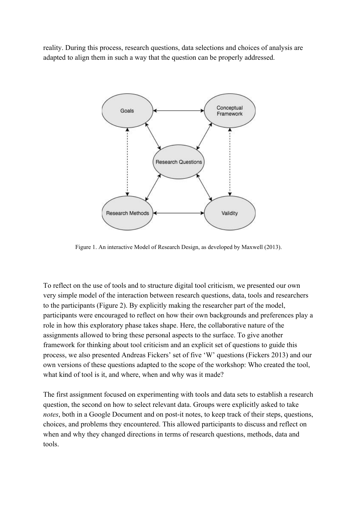reality. During this process, research questions, data selections and choices of analysis are adapted to align them in such a way that the question can be properly addressed.



Figure 1. An interactive Model of Research Design, as developed by Maxwell (2013).

To reflect on the use of tools and to structure digital tool criticism, we presented our own very simple model of the interaction between research questions, data, tools and researchers to the participants (Figure 2). By explicitly making the researcher part of the model, participants were encouraged to reflect on how their own backgrounds and preferences play a role in how this exploratory phase takes shape. Here, the collaborative nature of the assignments allowed to bring these personal aspects to the surface. To give another framework for thinking about tool criticism and an explicit set of questions to guide this process, we also presented Andreas Fickers' set of five 'W' questions (Fickers 2013) and our own versions of these questions adapted to the scope of the workshop: Who created the tool, what kind of tool is it, and where, when and why was it made?

The first assignment focused on experimenting with tools and data sets to establish a research question, the second on how to select relevant data. Groups were explicitly asked to take *notes*, both in a Google Document and on post-it notes, to keep track of their steps, questions, choices, and problems they encountered. This allowed participants to discuss and reflect on when and why they changed directions in terms of research questions, methods, data and tools.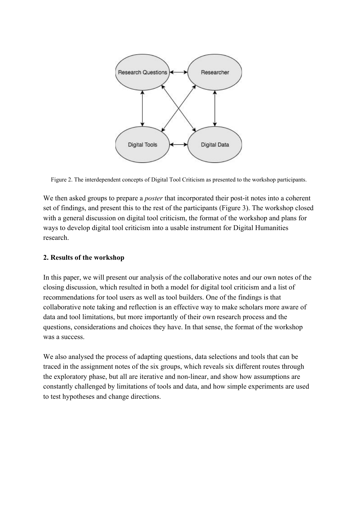

Figure 2. The interdependent concepts of Digital Tool Criticism as presented to the workshop participants.

We then asked groups to prepare a *poster* that incorporated their post-it notes into a coherent set of findings, and present this to the rest of the participants (Figure 3). The workshop closed with a general discussion on digital tool criticism, the format of the workshop and plans for ways to develop digital tool criticism into a usable instrument for Digital Humanities research.

#### **2. Results of the workshop**

In this paper, we will present our analysis of the collaborative notes and our own notes of the closing discussion, which resulted in both a model for digital tool criticism and a list of recommendations for tool users as well as tool builders. One of the findings is that collaborative note taking and reflection is an effective way to make scholars more aware of data and tool limitations, but more importantly of their own research process and the questions, considerations and choices they have. In that sense, the format of the workshop was a success.

We also analysed the process of adapting questions, data selections and tools that can be traced in the assignment notes of the six groups, which reveals six different routes through the exploratory phase, but all are iterative and non-linear, and show how assumptions are constantly challenged by limitations of tools and data, and how simple experiments are used to test hypotheses and change directions.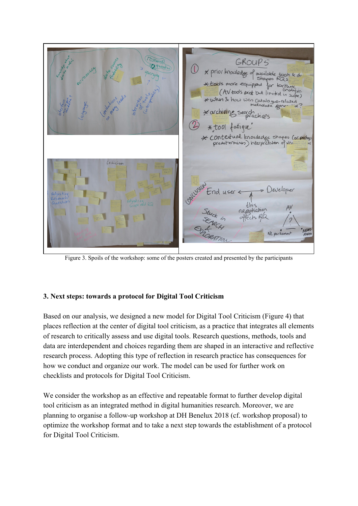

Figure 3. Spoils of the workshop: some of the posters created and presented by the participants

#### **3. Next steps: towards a protocol for Digital Tool Criticism**

Based on our analysis, we designed a new model for Digital Tool Criticism (Figure 4) that places reflection at the center of digital tool criticism, as a practice that integrates all elements of research to critically assess and use digital tools. Research questions, methods, tools and data are interdependent and choices regarding them are shaped in an interactive and reflective research process. Adopting this type of reflection in research practice has consequences for how we conduct and organize our work. The model can be used for further work on checklists and protocols for Digital Tool Criticism.

We consider the workshop as an effective and repeatable format to further develop digital tool criticism as an integrated method in digital humanities research. Moreover, we are planning to organise a follow-up workshop at DH Benelux 2018 (cf. workshop proposal) to optimize the workshop format and to take a next step towards the establishment of a protocol for Digital Tool Criticism.